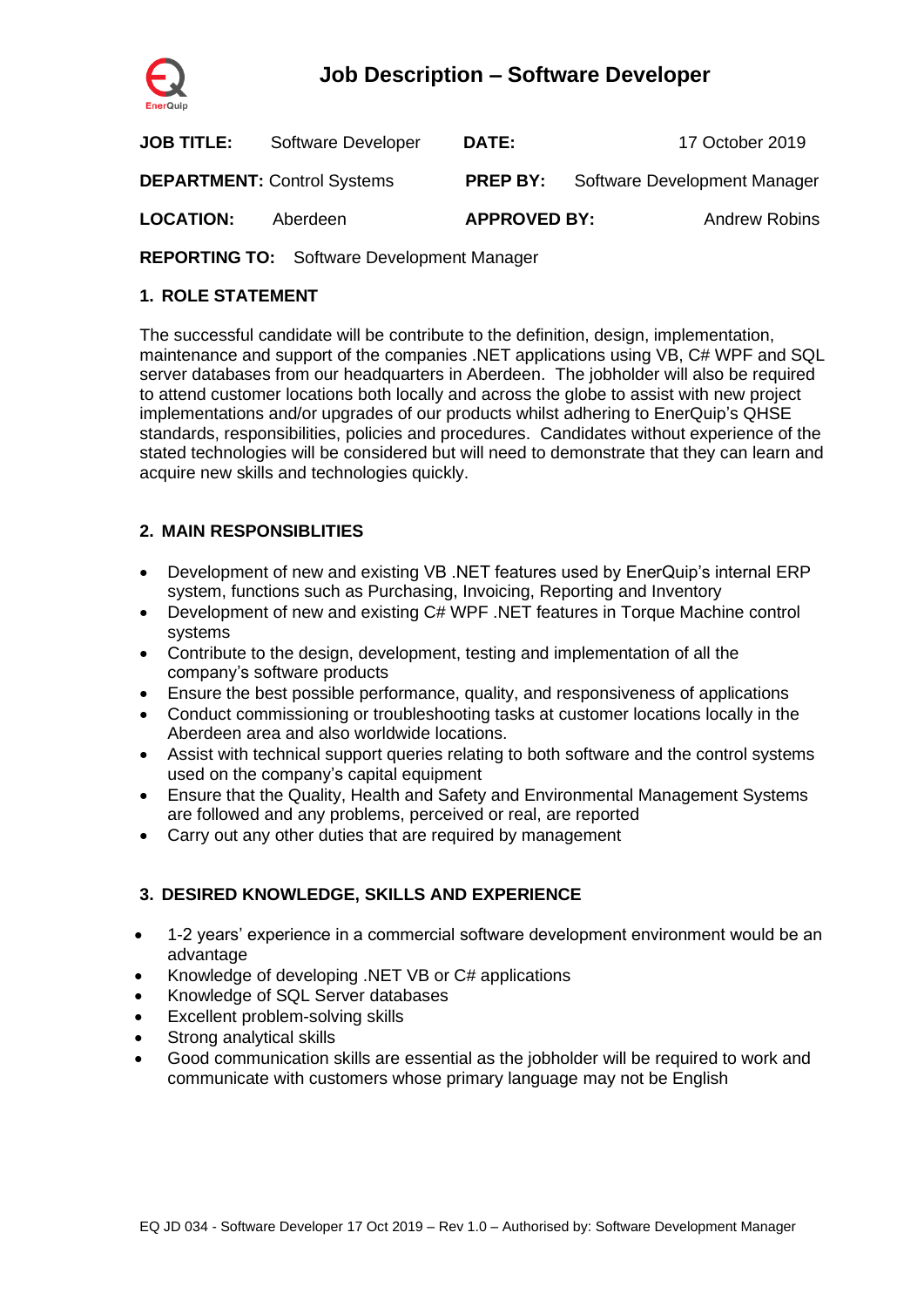

# **Job Description – Software Developer**

| <b>JOB TITLE:</b> | Software Developer                 | <b>DATE:</b>        |                                              | 17 October 2019      |
|-------------------|------------------------------------|---------------------|----------------------------------------------|----------------------|
|                   | <b>DEPARTMENT: Control Systems</b> |                     | <b>PREP BY:</b> Software Development Manager |                      |
| <b>LOCATION:</b>  | Aberdeen                           | <b>APPROVED BY:</b> |                                              | <b>Andrew Robins</b> |

**REPORTING TO:** Software Development Manager

## **1. ROLE STATEMENT**

The successful candidate will be contribute to the definition, design, implementation, maintenance and support of the companies .NET applications using VB, C# WPF and SQL server databases from our headquarters in Aberdeen. The jobholder will also be required to attend customer locations both locally and across the globe to assist with new project implementations and/or upgrades of our products whilst adhering to EnerQuip's QHSE standards, responsibilities, policies and procedures. Candidates without experience of the stated technologies will be considered but will need to demonstrate that they can learn and acquire new skills and technologies quickly.

## **2. MAIN RESPONSIBLITIES**

- Development of new and existing VB .NET features used by EnerQuip's internal ERP system, functions such as Purchasing, Invoicing, Reporting and Inventory
- Development of new and existing C# WPF .NET features in Torque Machine control systems
- Contribute to the design, development, testing and implementation of all the company's software products
- Ensure the best possible performance, quality, and responsiveness of applications
- Conduct commissioning or troubleshooting tasks at customer locations locally in the Aberdeen area and also worldwide locations.
- Assist with technical support queries relating to both software and the control systems used on the company's capital equipment
- Ensure that the Quality, Health and Safety and Environmental Management Systems are followed and any problems, perceived or real, are reported
- Carry out any other duties that are required by management

#### **3. DESIRED KNOWLEDGE, SKILLS AND EXPERIENCE**

- 1-2 years' experience in a commercial software development environment would be an advantage
- Knowledge of developing .NET VB or C# applications
- Knowledge of SQL Server databases
- Excellent problem-solving skills
- Strong analytical skills
- Good communication skills are essential as the jobholder will be required to work and communicate with customers whose primary language may not be English